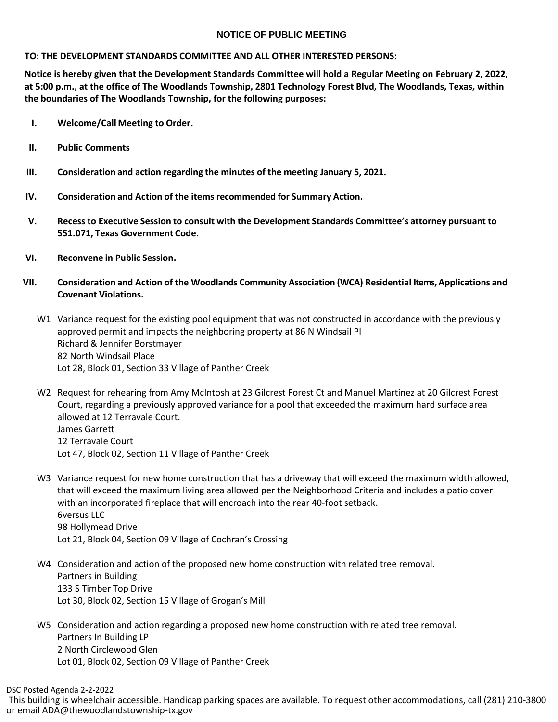## **NOTICE OF PUBLIC MEETING**

## **TO: THE DEVELOPMENT STANDARDS COMMITTEE AND ALL OTHER INTERESTED PERSONS:**

**Notice is hereby given that the Development Standards Committee will hold a Regular Meeting on February 2, 2022, at 5:00 p.m., at the office of The Woodlands Township, 2801 Technology Forest Blvd, The Woodlands, Texas, within the boundaries of The Woodlands Township, for the following purposes:**

- **I. Welcome/Call Meeting to Order.**
- **II. Public Comments**
- **III. Consideration and action regarding the minutes of the meeting January 5, 2021.**
- **IV. Consideration and Action of the items recommended for Summary Action.**
- **V. Recessto Executive Session to consult with the Development Standards Committee's attorney pursuant to 551.071, Texas Government Code.**
- **VI. Reconvene in Public Session.**
- **VII. Consideration and Action of the Woodlands Community Association (WCA) Residential Items, Applications and Covenant Violations.**
	- W1 Variance request for the existing pool equipment that was not constructed in accordance with the previously approved permit and impacts the neighboring property at 86 N Windsail Pl Richard & Jennifer Borstmayer 82 North Windsail Place Lot 28, Block 01, Section 33 Village of Panther Creek
	- W2 Request for rehearing from Amy McIntosh at 23 Gilcrest Forest Ct and Manuel Martinez at 20 Gilcrest Forest Court, regarding a previously approved variance for a pool that exceeded the maximum hard surface area allowed at 12 Terravale Court. James Garrett 12 Terravale Court Lot 47, Block 02, Section 11 Village of Panther Creek
	- W3 Variance request for new home construction that has a driveway that will exceed the maximum width allowed, that will exceed the maximum living area allowed per the Neighborhood Criteria and includes a patio cover with an incorporated fireplace that will encroach into the rear 40-foot setback. 6versus LLC 98 Hollymead Drive Lot 21, Block 04, Section 09 Village of Cochran's Crossing
	- W4 Consideration and action of the proposed new home construction with related tree removal. Partners in Building 133 S Timber Top Drive Lot 30, Block 02, Section 15 Village of Grogan's Mill
	- W5 Consideration and action regarding a proposed new home construction with related tree removal. Partners In Building LP 2 North Circlewood Glen Lot 01, Block 02, Section 09 Village of Panther Creek

DSC Posted Agenda 2-2-2022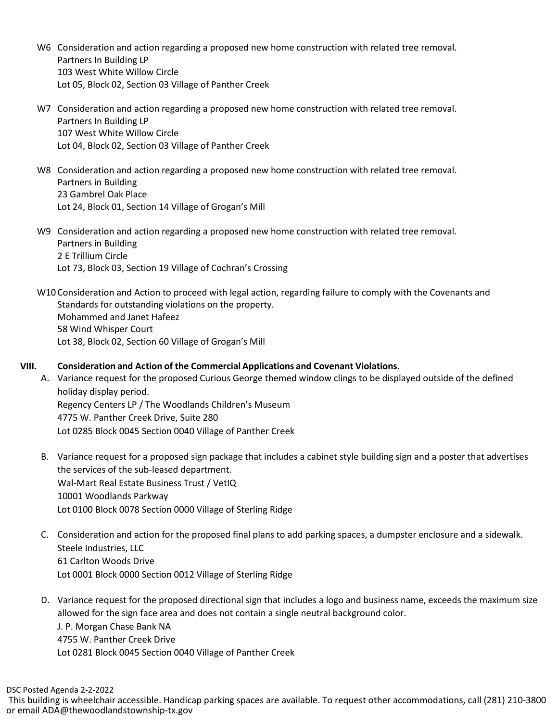- W6 Consideration and action regarding a proposed new home construction with related tree removal. Partners In Building LP 103 West White Willow Circle Lot 05, Block 02, Section 03 Village of Panther Creek
- W7 Consideration and action regarding a proposed new home construction with related tree removal. Partners In Building LP 107 West White Willow Circle Lot 04, Block 02, Section 03 Village of Panther Creek
- W8 Consideration and action regarding a proposed new home construction with related tree removal. Partners in Building 23 Gambrel Oak Place Lot 24, Block 01, Section 14 Village of Grogan's Mill
- W9 Consideration and action regarding a proposed new home construction with related tree removal. Partners in Building 2 E Trillium Circle Lot 73, Block 03, Section 19 Village of Cochran's Crossing
- W10 Consideration and Action to proceed with legal action, regarding failure to comply with the Covenants and Standards for outstanding violations on the property. Mohammed and Janet Hafeez 58 Wind Whisper Court Lot 38, Block 02, Section 60 Village of Grogan's Mill

## **VIII. Consideration and Action of the Commercial Applications and Covenant Violations.**

- A. Variance request for the proposed Curious George themed window clings to be displayed outside of the defined holiday display period. Regency Centers LP / The Woodlands Children's Museum 4775 W. Panther Creek Drive, Suite 280 Lot 0285 Block 0045 Section 0040 Village of Panther Creek
	- B. Variance request for a proposed sign package that includes a cabinet style building sign and a poster that advertises the services of the sub-leased department. Wal-Mart Real Estate Business Trust / VetIQ 10001 Woodlands Parkway Lot 0100 Block 0078 Section 0000 Village of Sterling Ridge
	- C. Consideration and action for the proposed final plans to add parking spaces, a dumpster enclosure and a sidewalk. Steele Industries, LLC 61 Carlton Woods Drive Lot 0001 Block 0000 Section 0012 Village of Sterling Ridge
	- D. Variance request for the proposed directional sign that includes a logo and business name, exceeds the maximum size allowed for the sign face area and does not contain a single neutral background color. J. P. Morgan Chase Bank NA 4755 W. Panther Creek Drive Lot 0281 Block 0045 Section 0040 Village of Panther Creek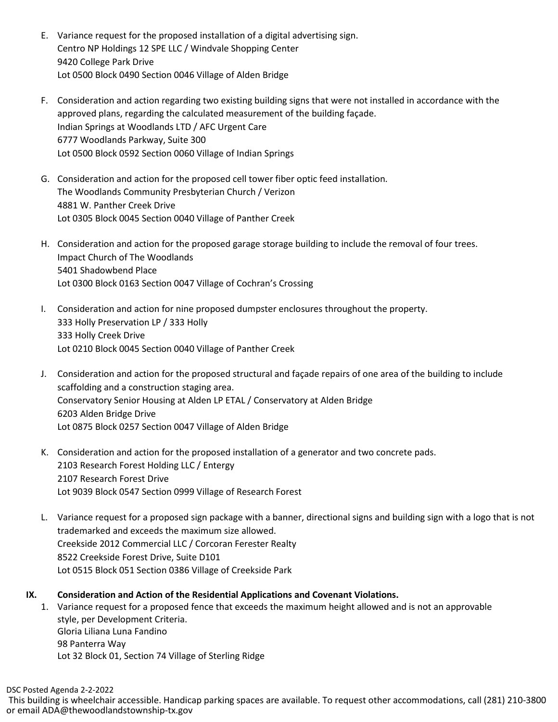- E. Variance request for the proposed installation of a digital advertising sign. Centro NP Holdings 12 SPE LLC / Windvale Shopping Center 9420 College Park Drive Lot 0500 Block 0490 Section 0046 Village of Alden Bridge
- F. Consideration and action regarding two existing building signs that were not installed in accordance with the approved plans, regarding the calculated measurement of the building façade. Indian Springs at Woodlands LTD / AFC Urgent Care 6777 Woodlands Parkway, Suite 300 Lot 0500 Block 0592 Section 0060 Village of Indian Springs
- G. Consideration and action for the proposed cell tower fiber optic feed installation. The Woodlands Community Presbyterian Church / Verizon 4881 W. Panther Creek Drive Lot 0305 Block 0045 Section 0040 Village of Panther Creek
- H. Consideration and action for the proposed garage storage building to include the removal of four trees. Impact Church of The Woodlands 5401 Shadowbend Place Lot 0300 Block 0163 Section 0047 Village of Cochran's Crossing
- I. Consideration and action for nine proposed dumpster enclosures throughout the property. 333 Holly Preservation LP / 333 Holly 333 Holly Creek Drive Lot 0210 Block 0045 Section 0040 Village of Panther Creek
- J. Consideration and action for the proposed structural and façade repairs of one area of the building to include scaffolding and a construction staging area. Conservatory Senior Housing at Alden LP ETAL / Conservatory at Alden Bridge 6203 Alden Bridge Drive Lot 0875 Block 0257 Section 0047 Village of Alden Bridge
- K. Consideration and action for the proposed installation of a generator and two concrete pads. 2103 Research Forest Holding LLC / Entergy 2107 Research Forest Drive Lot 9039 Block 0547 Section 0999 Village of Research Forest
- L. Variance request for a proposed sign package with a banner, directional signs and building sign with a logo that is not trademarked and exceeds the maximum size allowed. Creekside 2012 Commercial LLC / Corcoran Ferester Realty 8522 Creekside Forest Drive, Suite D101 Lot 0515 Block 051 Section 0386 Village of Creekside Park
- **IX. Consideration and Action of the Residential Applications and Covenant Violations.**
	- 1. Variance request for a proposed fence that exceeds the maximum height allowed and is not an approvable style, per Development Criteria. Gloria Liliana Luna Fandino 98 Panterra Way Lot 32 Block 01, Section 74 Village of Sterling Ridge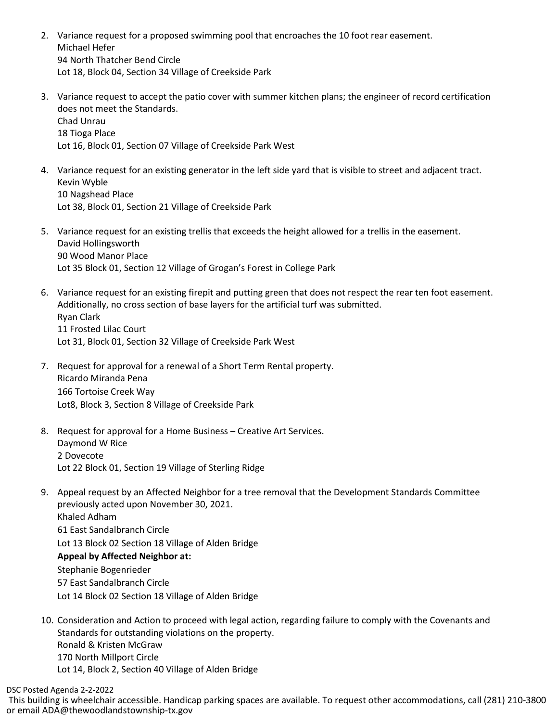- 2. Variance request for a proposed swimming pool that encroaches the 10 foot rear easement. Michael Hefer 94 North Thatcher Bend Circle Lot 18, Block 04, Section 34 Village of Creekside Park
- 3. Variance request to accept the patio cover with summer kitchen plans; the engineer of record certification does not meet the Standards. Chad Unrau 18 Tioga Place Lot 16, Block 01, Section 07 Village of Creekside Park West
- 4. Variance request for an existing generator in the left side yard that is visible to street and adjacent tract. Kevin Wyble 10 Nagshead Place Lot 38, Block 01, Section 21 Village of Creekside Park
- 5. Variance request for an existing trellis that exceeds the height allowed for a trellis in the easement. David Hollingsworth 90 Wood Manor Place Lot 35 Block 01, Section 12 Village of Grogan's Forest in College Park
- 6. Variance request for an existing firepit and putting green that does not respect the rear ten foot easement. Additionally, no cross section of base layers for the artificial turf was submitted. Ryan Clark 11 Frosted Lilac Court Lot 31, Block 01, Section 32 Village of Creekside Park West
- 7. Request for approval for a renewal of a Short Term Rental property. Ricardo Miranda Pena 166 Tortoise Creek Way Lot8, Block 3, Section 8 Village of Creekside Park
- 8. Request for approval for a Home Business Creative Art Services. Daymond W Rice 2 Dovecote Lot 22 Block 01, Section 19 Village of Sterling Ridge
- 9. Appeal request by an Affected Neighbor for a tree removal that the Development Standards Committee previously acted upon November 30, 2021. Khaled Adham 61 East Sandalbranch Circle Lot 13 Block 02 Section 18 Village of Alden Bridge **Appeal by Affected Neighbor at:** Stephanie Bogenrieder
	- 57 East Sandalbranch Circle Lot 14 Block 02 Section 18 Village of Alden Bridge
- 10. Consideration and Action to proceed with legal action, regarding failure to comply with the Covenants and Standards for outstanding violations on the property. Ronald & Kristen McGraw 170 North Millport Circle Lot 14, Block 2, Section 40 Village of Alden Bridge

DSC Posted Agenda 2-2-2022